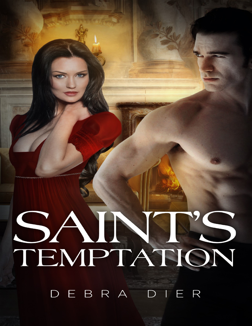## SAINT'S

DEBRA DIER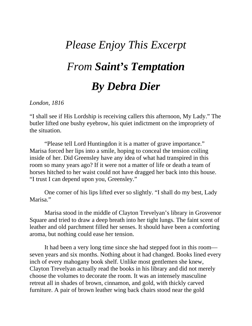## *Please Enjoy This Excerpt From Saint's Temptation By Debra Dier*

## *London, 1816*

"I shall see if His Lordship is receiving callers this afternoon, My Lady." The butler lifted one bushy eyebrow, his quiet indictment on the impropriety of the situation.

"Please tell Lord Huntingdon it is a matter of grave importance." Marisa forced her lips into a smile, hoping to conceal the tension coiling inside of her. Did Greensley have any idea of what had transpired in this room so many years ago? If it were not a matter of life or death a team of horses hitched to her waist could not have dragged her back into this house. "I trust I can depend upon you, Greensley."

One corner of his lips lifted ever so slightly. "I shall do my best, Lady Marisa."

Marisa stood in the middle of Clayton Trevelyan's library in Grosvenor Square and tried to draw a deep breath into her tight lungs. The faint scent of leather and old parchment filled her senses. It should have been a comforting aroma, but nothing could ease her tension.

It had been a very long time since she had stepped foot in this room seven years and six months. Nothing about it had changed. Books lined every inch of every mahogany book shelf. Unlike most gentlemen she knew, Clayton Trevelyan actually read the books in his library and did not merely choose the volumes to decorate the room. It was an intensely masculine retreat all in shades of brown, cinnamon, and gold, with thickly carved furniture. A pair of brown leather wing back chairs stood near the gold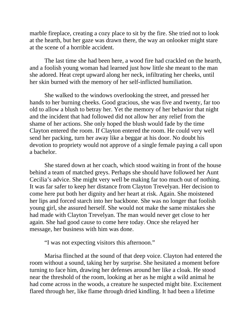marble fireplace, creating a cozy place to sit by the fire. She tried not to look at the hearth, but her gaze was drawn there, the way an onlooker might stare at the scene of a horrible accident.

The last time she had been here, a wood fire had crackled on the hearth, and a foolish young woman had learned just how little she meant to the man she adored. Heat crept upward along her neck, infiltrating her cheeks, until her skin burned with the memory of her self-inflicted humiliation.

She walked to the windows overlooking the street, and pressed her hands to her burning cheeks. Good gracious, she was five and twenty, far too old to allow a blush to betray her. Yet the memory of her behavior that night and the incident that had followed did not allow her any relief from the shame of her actions. She only hoped the blush would fade by the time Clayton entered the room. If Clayton entered the room. He could very well send her packing, turn her away like a beggar at his door. No doubt his devotion to propriety would not approve of a single female paying a call upon a bachelor.

She stared down at her coach, which stood waiting in front of the house behind a team of matched greys. Perhaps she should have followed her Aunt Cecilia's advice. She might very well be making far too much out of nothing. It was far safer to keep her distance from Clayton Trevelyan. Her decision to come here put both her dignity and her heart at risk. Again. She moistened her lips and forced starch into her backbone. She was no longer that foolish young girl, she assured herself. She would not make the same mistakes she had made with Clayton Trevelyan. The man would never get close to her again. She had good cause to come here today. Once she relayed her message, her business with him was done.

"I was not expecting visitors this afternoon."

Marisa flinched at the sound of that deep voice. Clayton had entered the room without a sound, taking her by surprise. She hesitated a moment before turning to face him, drawing her defenses around her like a cloak. He stood near the threshold of the room, looking at her as he might a wild animal he had come across in the woods, a creature he suspected might bite. Excitement flared through her, like flame through dried kindling. It had been a lifetime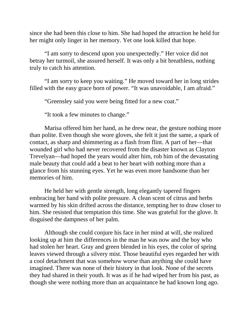since she had been this close to him. She had hoped the attraction he held for her might only linger in her memory. Yet one look killed that hope.

"I am sorry to descend upon you unexpectedly." Her voice did not betray her turmoil, she assured herself. It was only a bit breathless, nothing truly to catch his attention.

"I am sorry to keep you waiting." He moved toward her in long strides filled with the easy grace born of power. "It was unavoidable, I am afraid."

"Greensley said you were being fitted for a new coat."

"It took a few minutes to change."

Marisa offered him her hand, as he drew near, the gesture nothing more than polite. Even though she wore gloves, she felt it just the same, a spark of contact, as sharp and shimmering as a flash from flint. A part of her—that wounded girl who had never recovered from the disaster known as Clayton Trevelyan—had hoped the years would alter him, rob him of the devastating male beauty that could add a beat to her heart with nothing more than a glance from his stunning eyes. Yet he was even more handsome than her memories of him.

He held her with gentle strength, long elegantly tapered fingers embracing her hand with polite pressure. A clean scent of citrus and herbs warmed by his skin drifted across the distance, tempting her to draw closer to him. She resisted that temptation this time. She was grateful for the glove. It disguised the dampness of her palm.

Although she could conjure his face in her mind at will, she realized looking up at him the differences in the man he was now and the boy who had stolen her heart. Gray and green blended in his eyes, the color of spring leaves viewed through a silvery mist. Those beautiful eyes regarded her with a cool detachment that was somehow worse than anything she could have imagined. There was none of their history in that look. None of the secrets they had shared in their youth. It was as if he had wiped her from his past, as though she were nothing more than an acquaintance he had known long ago.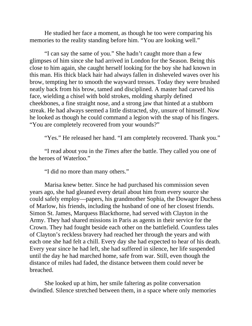He studied her face a moment, as though he too were comparing his memories to the reality standing before him. "You are looking well."

"I can say the same of you." She hadn't caught more than a few glimpses of him since she had arrived in London for the Season. Being this close to him again, she caught herself looking for the boy she had known in this man. His thick black hair had always fallen in disheveled waves over his brow, tempting her to smooth the wayward tresses. Today they were brushed neatly back from his brow, tamed and disciplined. A master had carved his face, wielding a chisel with bold strokes, molding sharply defined cheekbones, a fine straight nose, and a strong jaw that hinted at a stubborn streak. He had always seemed a little distracted, shy, unsure of himself. Now he looked as though he could command a legion with the snap of his fingers. "You are completely recovered from your wounds?"

"Yes." He released her hand. "I am completely recovered. Thank you."

"I read about you in the *Times* after the battle. They called you one of the heroes of Waterloo."

"I did no more than many others."

Marisa knew better. Since he had purchased his commission seven years ago, she had gleaned every detail about him from every source she could safely employ—papers, his grandmother Sophia, the Dowager Duchess of Marlow, his friends, including the husband of one of her closest friends. Simon St. James, Marquess Blackthorne, had served with Clayton in the Army. They had shared missions in Paris as agents in their service for the Crown. They had fought beside each other on the battlefield. Countless tales of Clayton's reckless bravery had reached her through the years and with each one she had felt a chill. Every day she had expected to hear of his death. Every year since he had left, she had suffered in silence, her life suspended until the day he had marched home, safe from war. Still, even though the distance of miles had faded, the distance between them could never be breached.

She looked up at him, her smile faltering as polite conversation dwindled. Silence stretched between them, in a space where only memories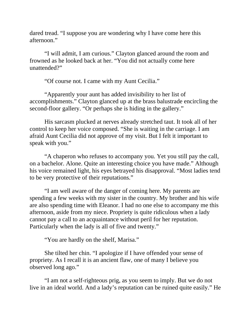dared tread. "I suppose you are wondering why I have come here this afternoon."

"I will admit, I am curious." Clayton glanced around the room and frowned as he looked back at her. "You did not actually come here unattended?"

"Of course not. I came with my Aunt Cecilia."

"Apparently your aunt has added invisibility to her list of accomplishments." Clayton glanced up at the brass balustrade encircling the second-floor gallery. "Or perhaps she is hiding in the gallery."

His sarcasm plucked at nerves already stretched taut. It took all of her control to keep her voice composed. "She is waiting in the carriage. I am afraid Aunt Cecilia did not approve of my visit. But I felt it important to speak with you."

"A chaperon who refuses to accompany you. Yet you still pay the call, on a bachelor. Alone. Quite an interesting choice you have made." Although his voice remained light, his eyes betrayed his disapproval. "Most ladies tend to be very protective of their reputations."

"I am well aware of the danger of coming here. My parents are spending a few weeks with my sister in the country. My brother and his wife are also spending time with Eleanor. I had no one else to accompany me this afternoon, aside from my niece. Propriety is quite ridiculous when a lady cannot pay a call to an acquaintance without peril for her reputation. Particularly when the lady is all of five and twenty."

"You are hardly on the shelf, Marisa."

She tilted her chin. "I apologize if I have offended your sense of propriety. As I recall it is an ancient flaw, one of many I believe you observed long ago."

"I am not a self-righteous prig, as you seem to imply. But we do not live in an ideal world. And a lady's reputation can be ruined quite easily." He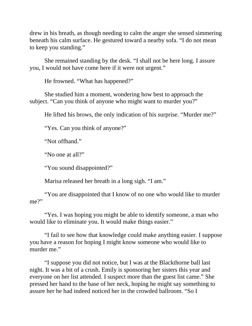drew in his breath, as though needing to calm the anger she sensed simmering beneath his calm surface. He gestured toward a nearby sofa. "I do not mean to keep you standing."

She remained standing by the desk. "I shall not be here long. I assure you, I would not have come here if it were not urgent."

He frowned. "What has happened?"

She studied him a moment, wondering how best to approach the subject. "Can you think of anyone who might want to murder you?"

He lifted his brows, the only indication of his surprise. "Murder me?"

"Yes. Can you think of anyone?"

"Not offhand."

"No one at all?"

"You sound disappointed?"

Marisa released her breath in a long sigh. "I am."

"You are disappointed that I know of no one who would like to murder me?"

"Yes. I was hoping you might be able to identify someone, a man who would like to eliminate you. It would make things easier."

"I fail to see how that knowledge could make anything easier. I suppose you have a reason for hoping I might know someone who would like to murder me."

"I suppose you did not notice, but I was at the Blackthorne ball last night. It was a bit of a crush. Emily is sponsoring her sisters this year and everyone on her list attended. I suspect more than the guest list came." She pressed her hand to the base of her neck, hoping he might say something to assure her he had indeed noticed her in the crowded ballroom. "So I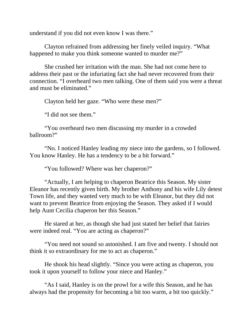understand if you did not even know I was there."

Clayton refrained from addressing her finely veiled inquiry. "What happened to make you think someone wanted to murder me?"

She crushed her irritation with the man. She had not come here to address their past or the infuriating fact she had never recovered from their connection. "I overheard two men talking. One of them said you were a threat and must be eliminated."

Clayton held her gaze. "Who were these men?"

"I did not see them."

"You overheard two men discussing my murder in a crowded ballroom?"

"No. I noticed Hanley leading my niece into the gardens, so I followed. You know Hanley. He has a tendency to be a bit forward."

"You followed? Where was her chaperon?"

"Actually, I am helping to chaperon Beatrice this Season. My sister Eleanor has recently given birth. My brother Anthony and his wife Lily detest Town life, and they wanted very much to be with Eleanor, but they did not want to prevent Beatrice from enjoying the Season. They asked if I would help Aunt Cecilia chaperon her this Season."

He stared at her, as though she had just stated her belief that fairies were indeed real. "You are acting as chaperon?"

"You need not sound so astonished. I am five and twenty. I should not think it so extraordinary for me to act as chaperon."

He shook his head slightly. "Since you were acting as chaperon, you took it upon yourself to follow your niece and Hanley."

"As I said, Hanley is on the prowl for a wife this Season, and he has always had the propensity for becoming a bit too warm, a bit too quickly."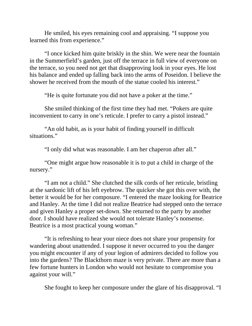He smiled, his eyes remaining cool and appraising. "I suppose you learned this from experience."

"I once kicked him quite briskly in the shin. We were near the fountain in the Summerfield's garden, just off the terrace in full view of everyone on the terrace, so you need not get that disapproving look in your eyes. He lost his balance and ended up falling back into the arms of Poseidon. I believe the shower he received from the mouth of the statue cooled his interest."

"He is quite fortunate you did not have a poker at the time."

She smiled thinking of the first time they had met. "Pokers are quite inconvenient to carry in one's reticule. I prefer to carry a pistol instead."

"An old habit, as is your habit of finding yourself in difficult situations."

"I only did what was reasonable. I am her chaperon after all."

"One might argue how reasonable it is to put a child in charge of the nursery."

"I am not a child." She clutched the silk cords of her reticule, bristling at the sardonic lift of his left eyebrow. The quicker she got this over with, the better it would be for her composure. "I entered the maze looking for Beatrice and Hanley. At the time I did not realize Beatrice had stepped onto the terrace and given Hanley a proper set-down. She returned to the party by another door. I should have realized she would not tolerate Hanley's nonsense. Beatrice is a most practical young woman."

"It is refreshing to hear your niece does not share your propensity for wandering about unattended. I suppose it never occurred to you the danger you might encounter if any of your legion of admirers decided to follow you into the gardens? The Blackthorn maze is very private. There are more than a few fortune hunters in London who would not hesitate to compromise you against your will."

She fought to keep her composure under the glare of his disapproval. "I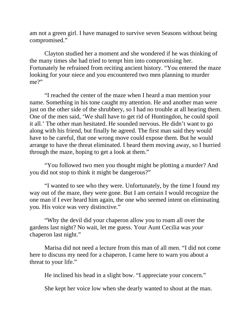am not a green girl. I have managed to survive seven Seasons without being compromised."

Clayton studied her a moment and she wondered if he was thinking of the many times she had tried to tempt him into compromising her. Fortunately he refrained from reciting ancient history. "You entered the maze looking for your niece and you encountered two men planning to murder me?"

"I reached the center of the maze when I heard a man mention your name. Something in his tone caught my attention. He and another man were just on the other side of the shrubbery, so I had no trouble at all hearing them. One of the men said, 'We shall have to get rid of Huntingdon, he could spoil it all.' The other man hesitated. He sounded nervous. He didn't want to go along with his friend, but finally he agreed. The first man said they would have to be careful, that one wrong move could expose them. But he would arrange to have the threat eliminated. I heard them moving away, so I hurried through the maze, hoping to get a look at them."

"You followed two men you thought might be plotting a murder? And you did not stop to think it might be dangerous?"

"I wanted to see who they were. Unfortunately, by the time I found my way out of the maze, they were gone. But I am certain I would recognize the one man if I ever heard him again, the one who seemed intent on eliminating you. His voice was very distinctive."

"Why the devil did your chaperon allow you to roam all over the gardens last night? No wait, let me guess. Your Aunt Cecilia was *your* chaperon last night."

Marisa did not need a lecture from this man of all men. "I did not come here to discuss my need for a chaperon. I came here to warn you about a threat to your life."

He inclined his head in a slight bow. "I appreciate your concern."

She kept her voice low when she dearly wanted to shout at the man.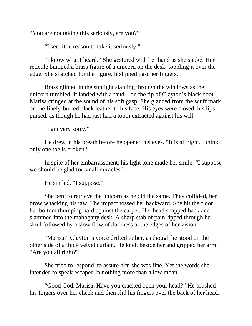"You are not taking this seriously, are you?"

"I see little reason to take it seriously."

"I know what I heard." She gestured with her hand as she spoke. Her reticule bumped a brass figure of a unicorn on the desk, toppling it over the edge. She snatched for the figure. It slipped past her fingers.

Brass glinted in the sunlight slanting through the windows as the unicorn tumbled. It landed with a thud—on the tip of Clayton's black boot. Marisa cringed at the sound of his soft gasp. She glanced from the scuff mark on the finely-buffed black leather to his face. His eyes were closed, his lips pursed, as though he had just had a tooth extracted against his will.

"I am very sorry."

He drew in his breath before he opened his eyes. "It is all right. I think only one toe is broken."

In spite of her embarrassment, his light tone made her smile. "I suppose we should be glad for small miracles."

He smiled. "I suppose."

She bent to retrieve the unicorn as he did the same. They collided, her brow whacking his jaw. The impact tossed her backward. She hit the floor, her bottom thumping hard against the carpet. Her head snapped back and slammed into the mahogany desk. A sharp stab of pain ripped through her skull followed by a slow flow of darkness at the edges of her vision.

"Marisa." Clayton's voice drifted to her, as though he stood on the other side of a thick velvet curtain. He knelt beside her and gripped her arm. "Are you all right?"

She tried to respond, to assure him she was fine. Yet the words she intended to speak escaped in nothing more than a low moan.

"Good God, Marisa. Have you cracked open your head?" He brushed his fingers over her cheek and then slid his fingers over the back of her head.